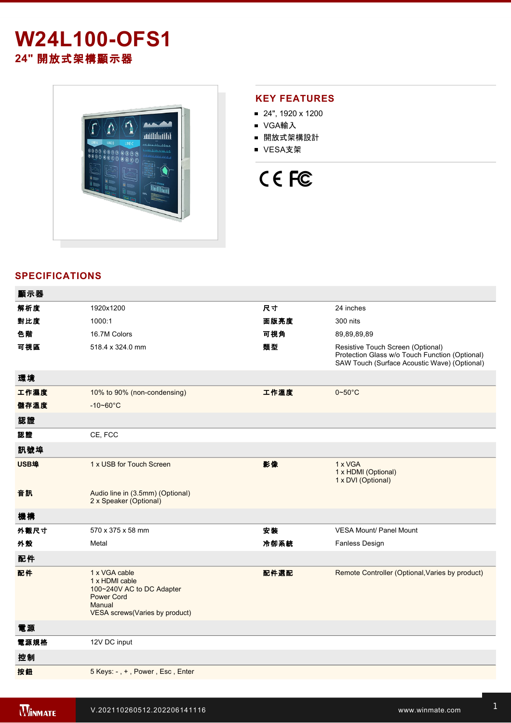# **W24L100-OFS1 24"** 開放式架構顯示器



## **KEY FEATURES**

- 24", 1920 x 1200
- VGA輸入
- 開放式架構設計
- VESA支架



# **SPECIFICATIONS**

| 顯示器  |                                                                                                                               |      |                                                                                                                                     |
|------|-------------------------------------------------------------------------------------------------------------------------------|------|-------------------------------------------------------------------------------------------------------------------------------------|
| 解析度  | 1920x1200                                                                                                                     | 尺寸   | 24 inches                                                                                                                           |
| 對比度  | 1000:1                                                                                                                        | 面版亮度 | 300 nits                                                                                                                            |
| 色階   | 16.7M Colors                                                                                                                  | 可視角  | 89,89,89,89                                                                                                                         |
| 可視區  | 518.4 x 324.0 mm                                                                                                              | 類型   | Resistive Touch Screen (Optional)<br>Protection Glass w/o Touch Function (Optional)<br>SAW Touch (Surface Acoustic Wave) (Optional) |
| 環境   |                                                                                                                               |      |                                                                                                                                     |
| 工作濕度 | 10% to 90% (non-condensing)                                                                                                   | 工作溫度 | $0\nightharpoonup 50^\circ C$                                                                                                       |
| 儲存溫度 | $-10 - 60^{\circ}C$                                                                                                           |      |                                                                                                                                     |
| 認證   |                                                                                                                               |      |                                                                                                                                     |
| 認證   | CE, FCC                                                                                                                       |      |                                                                                                                                     |
| 訊號埠  |                                                                                                                               |      |                                                                                                                                     |
| USB埠 | 1 x USB for Touch Screen                                                                                                      | 影像   | 1 x VGA<br>1 x HDMI (Optional)<br>1 x DVI (Optional)                                                                                |
| 音訊   | Audio line in (3.5mm) (Optional)<br>2 x Speaker (Optional)                                                                    |      |                                                                                                                                     |
| 機構   |                                                                                                                               |      |                                                                                                                                     |
| 外觀尺寸 | 570 x 375 x 58 mm                                                                                                             | 安裝   | <b>VESA Mount/ Panel Mount</b>                                                                                                      |
| 外殼   | Metal                                                                                                                         | 冷卻系統 | <b>Fanless Design</b>                                                                                                               |
| 配件   |                                                                                                                               |      |                                                                                                                                     |
| 配件   | 1 x VGA cable<br>1 x HDMI cable<br>100~240V AC to DC Adapter<br><b>Power Cord</b><br>Manual<br>VESA screws(Varies by product) | 配件選配 | Remote Controller (Optional, Varies by product)                                                                                     |
| 電源   |                                                                                                                               |      |                                                                                                                                     |
| 電源規格 | 12V DC input                                                                                                                  |      |                                                                                                                                     |
| 控制   |                                                                                                                               |      |                                                                                                                                     |
| 按鈕   | 5 Keys: -, +, Power, Esc, Enter                                                                                               |      |                                                                                                                                     |
|      |                                                                                                                               |      |                                                                                                                                     |